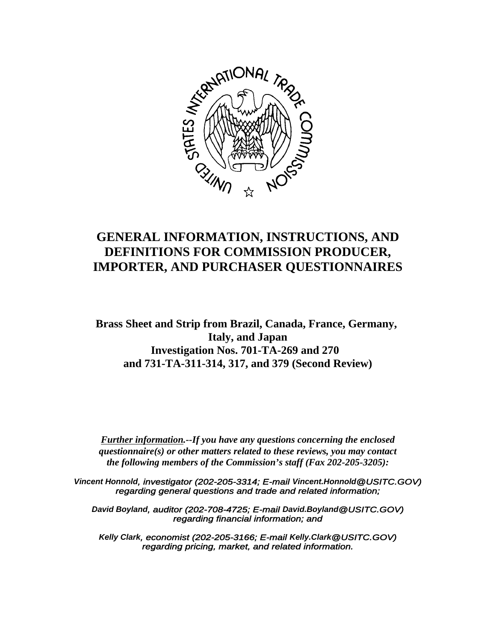

# **GENERAL INFORMATION, INSTRUCTIONS, AND DEFINITIONS FOR COMMISSION PRODUCER, IMPORTER, AND PURCHASER QUESTIONNAIRES**

**Brass Sheet and Strip from Brazil, Canada, France, Germany, Italy, and Japan Investigation Nos. 701-TA-269 and 270 and 731-TA-311-314, 317, and 379 (Second Review)**

*Further information.--If you have any questions concerning the enclosed questionnaire(s) or other matters related to these reviews, you may contact the following members of the Commission's staff (Fax 202-205-3205):*

*Vincent Honnold, investigator (202-205-3314; E-mail Vincent.Honnold@USITC.GOV) regarding general questions and trade and related information;*

*David Boyland, auditor (202-708-4725; E-mail David.Boyland@USITC.GOV) regarding financial information; and*

*Kelly Clark, economist (202-205-3166; E-mail Kelly.Clark@USITC.GOV) regarding pricing, market, and related information.*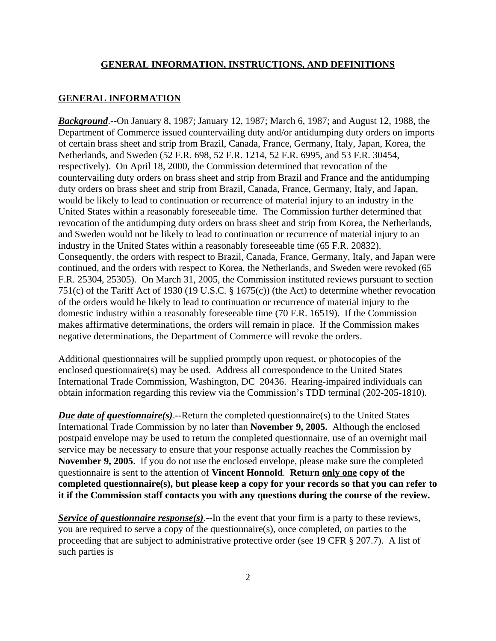#### **GENERAL INFORMATION**

*Background*.--On January 8, 1987; January 12, 1987; March 6, 1987; and August 12, 1988, the Department of Commerce issued countervailing duty and/or antidumping duty orders on imports of certain brass sheet and strip from Brazil, Canada, France, Germany, Italy, Japan, Korea, the Netherlands, and Sweden (52 F.R. 698, 52 F.R. 1214, 52 F.R. 6995, and 53 F.R. 30454, respectively). On April 18, 2000, the Commission determined that revocation of the countervailing duty orders on brass sheet and strip from Brazil and France and the antidumping duty orders on brass sheet and strip from Brazil, Canada, France, Germany, Italy, and Japan, would be likely to lead to continuation or recurrence of material injury to an industry in the United States within a reasonably foreseeable time. The Commission further determined that revocation of the antidumping duty orders on brass sheet and strip from Korea, the Netherlands, and Sweden would not be likely to lead to continuation or recurrence of material injury to an industry in the United States within a reasonably foreseeable time (65 F.R. 20832). Consequently, the orders with respect to Brazil, Canada, France, Germany, Italy, and Japan were continued, and the orders with respect to Korea, the Netherlands, and Sweden were revoked (65 F.R. 25304, 25305). On March 31, 2005, the Commission instituted reviews pursuant to section 751(c) of the Tariff Act of 1930 (19 U.S.C. § 1675(c)) (the Act) to determine whether revocation of the orders would be likely to lead to continuation or recurrence of material injury to the domestic industry within a reasonably foreseeable time (70 F.R. 16519). If the Commission makes affirmative determinations, the orders will remain in place. If the Commission makes negative determinations, the Department of Commerce will revoke the orders.

Additional questionnaires will be supplied promptly upon request, or photocopies of the enclosed questionnaire(s) may be used. Address all correspondence to the United States International Trade Commission, Washington, DC 20436. Hearing-impaired individuals can obtain information regarding this review via the Commission's TDD terminal (202-205-1810).

*Due date of questionnaire(s)*.--Return the completed questionnaire(s) to the United States International Trade Commission by no later than **November 9, 2005.** Although the enclosed postpaid envelope may be used to return the completed questionnaire, use of an overnight mail service may be necessary to ensure that your response actually reaches the Commission by **November 9, 2005**. If you do not use the enclosed envelope, please make sure the completed questionnaire is sent to the attention of **Vincent Honnold**. **Return only one copy of the completed questionnaire(s), but please keep a copy for your records so that you can refer to it if the Commission staff contacts you with any questions during the course of the review.**

*Service of questionnaire response(s)*.--In the event that your firm is a party to these reviews, you are required to serve a copy of the questionnaire(s), once completed, on parties to the proceeding that are subject to administrative protective order (see 19 CFR § 207.7). A list of such parties is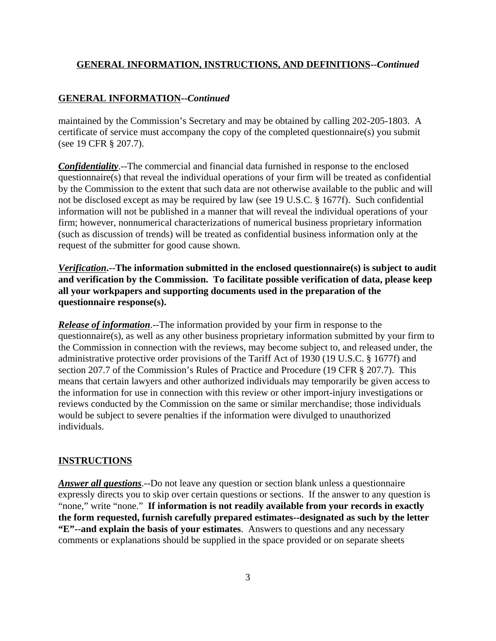## **GENERAL INFORMATION--***Continued*

maintained by the Commission's Secretary and may be obtained by calling 202-205-1803. A certificate of service must accompany the copy of the completed questionnaire(s) you submit (see 19 CFR § 207.7).

*Confidentiality*.--The commercial and financial data furnished in response to the enclosed questionnaire(s) that reveal the individual operations of your firm will be treated as confidential by the Commission to the extent that such data are not otherwise available to the public and will not be disclosed except as may be required by law (see 19 U.S.C. § 1677f). Such confidential information will not be published in a manner that will reveal the individual operations of your firm; however, nonnumerical characterizations of numerical business proprietary information (such as discussion of trends) will be treated as confidential business information only at the request of the submitter for good cause shown.

*Verification***.--The information submitted in the enclosed questionnaire(s) is subject to audit and verification by the Commission. To facilitate possible verification of data, please keep all your workpapers and supporting documents used in the preparation of the questionnaire response(s).**

*Release of information*.--The information provided by your firm in response to the questionnaire(s), as well as any other business proprietary information submitted by your firm to the Commission in connection with the reviews, may become subject to, and released under, the administrative protective order provisions of the Tariff Act of 1930 (19 U.S.C. § 1677f) and section 207.7 of the Commission's Rules of Practice and Procedure (19 CFR § 207.7). This means that certain lawyers and other authorized individuals may temporarily be given access to the information for use in connection with this review or other import-injury investigations or reviews conducted by the Commission on the same or similar merchandise; those individuals would be subject to severe penalties if the information were divulged to unauthorized individuals.

#### **INSTRUCTIONS**

*Answer all questions*.--Do not leave any question or section blank unless a questionnaire expressly directs you to skip over certain questions or sections. If the answer to any question is "none," write "none." **If information is not readily available from your records in exactly the form requested, furnish carefully prepared estimates--designated as such by the letter "E"--and explain the basis of your estimates**. Answers to questions and any necessary comments or explanations should be supplied in the space provided or on separate sheets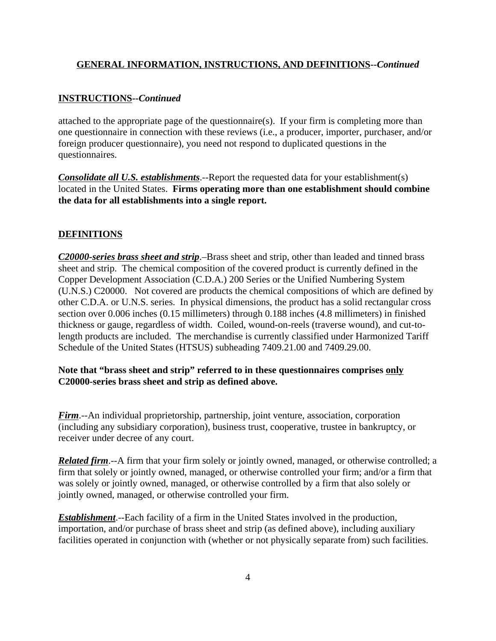#### **INSTRUCTIONS--***Continued*

attached to the appropriate page of the questionnaire(s). If your firm is completing more than one questionnaire in connection with these reviews (i.e., a producer, importer, purchaser, and/or foreign producer questionnaire), you need not respond to duplicated questions in the questionnaires.

*Consolidate all U.S. establishments*.--Report the requested data for your establishment(s) located in the United States. **Firms operating more than one establishment should combine the data for all establishments into a single report.**

#### **DEFINITIONS**

*C20000-series brass sheet and strip*.–Brass sheet and strip, other than leaded and tinned brass sheet and strip. The chemical composition of the covered product is currently defined in the Copper Development Association (C.D.A.) 200 Series or the Unified Numbering System (U.N.S.) C20000. Not covered are products the chemical compositions of which are defined by other C.D.A. or U.N.S. series. In physical dimensions, the product has a solid rectangular cross section over 0.006 inches (0.15 millimeters) through 0.188 inches (4.8 millimeters) in finished thickness or gauge, regardless of width. Coiled, wound-on-reels (traverse wound), and cut-tolength products are included. The merchandise is currently classified under Harmonized Tariff Schedule of the United States (HTSUS) subheading 7409.21.00 and 7409.29.00.

#### **Note that "brass sheet and strip" referred to in these questionnaires comprises only C20000-series brass sheet and strip as defined above.**

*Firm*.--An individual proprietorship, partnership, joint venture, association, corporation (including any subsidiary corporation), business trust, cooperative, trustee in bankruptcy, or receiver under decree of any court.

*Related firm*.--A firm that your firm solely or jointly owned, managed, or otherwise controlled; a firm that solely or jointly owned, managed, or otherwise controlled your firm; and/or a firm that was solely or jointly owned, managed, or otherwise controlled by a firm that also solely or jointly owned, managed, or otherwise controlled your firm.

*Establishment*.--Each facility of a firm in the United States involved in the production, importation, and/or purchase of brass sheet and strip (as defined above), including auxiliary facilities operated in conjunction with (whether or not physically separate from) such facilities.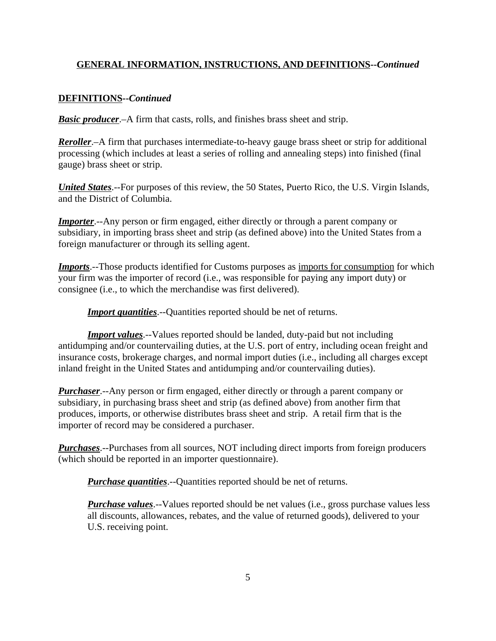## **DEFINITIONS--***Continued*

*Basic producer.*–A firm that casts, rolls, and finishes brass sheet and strip.

*Reroller*.–A firm that purchases intermediate-to-heavy gauge brass sheet or strip for additional processing (which includes at least a series of rolling and annealing steps) into finished (final gauge) brass sheet or strip.

*United States*.--For purposes of this review, the 50 States, Puerto Rico, the U.S. Virgin Islands, and the District of Columbia.

*Importer.*--Any person or firm engaged, either directly or through a parent company or subsidiary, in importing brass sheet and strip (as defined above) into the United States from a foreign manufacturer or through its selling agent.

*Imports*.--Those products identified for Customs purposes as imports for consumption for which your firm was the importer of record (i.e., was responsible for paying any import duty) or consignee (i.e., to which the merchandise was first delivered).

*Import quantities*.--Quantities reported should be net of returns.

*Import values*.--Values reported should be landed, duty-paid but not including antidumping and/or countervailing duties, at the U.S. port of entry, including ocean freight and insurance costs, brokerage charges, and normal import duties (i.e., including all charges except inland freight in the United States and antidumping and/or countervailing duties).

*Purchaser*.--Any person or firm engaged, either directly or through a parent company or subsidiary, in purchasing brass sheet and strip (as defined above) from another firm that produces, imports, or otherwise distributes brass sheet and strip. A retail firm that is the importer of record may be considered a purchaser.

*Purchases*.--Purchases from all sources, NOT including direct imports from foreign producers (which should be reported in an importer questionnaire).

*Purchase quantities*.--Quantities reported should be net of returns.

*Purchase values*.--Values reported should be net values (i.e., gross purchase values less all discounts, allowances, rebates, and the value of returned goods), delivered to your U.S. receiving point.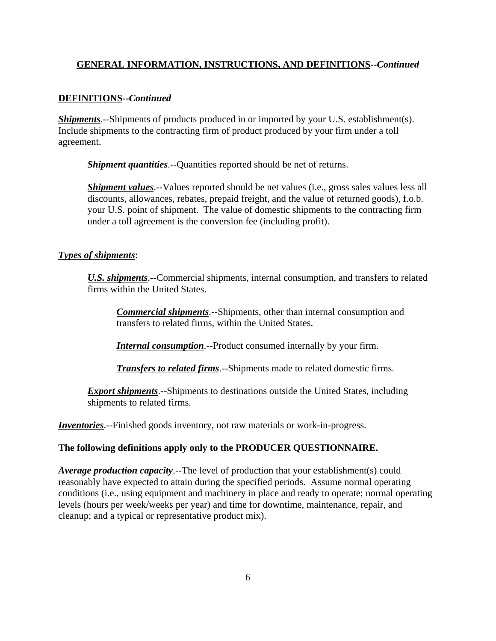## **DEFINITIONS--***Continued*

*Shipments*.--Shipments of products produced in or imported by your U.S. establishment(s). Include shipments to the contracting firm of product produced by your firm under a toll agreement.

*Shipment quantities*.--Quantities reported should be net of returns.

*Shipment values*.--Values reported should be net values (*i.e.*, gross sales values less all discounts, allowances, rebates, prepaid freight, and the value of returned goods), f.o.b. your U.S. point of shipment. The value of domestic shipments to the contracting firm under a toll agreement is the conversion fee (including profit).

#### *Types of shipments*:

*U.S. shipments*.--Commercial shipments, internal consumption, and transfers to related firms within the United States.

*Commercial shipments*.--Shipments, other than internal consumption and transfers to related firms, within the United States.

*Internal consumption*.--Product consumed internally by your firm.

*Transfers to related firms*.--Shipments made to related domestic firms.

**Export shipments**.--Shipments to destinations outside the United States, including shipments to related firms.

*Inventories*.--Finished goods inventory, not raw materials or work-in-progress.

#### **The following definitions apply only to the PRODUCER QUESTIONNAIRE.**

*Average production capacity*.--The level of production that your establishment(s) could reasonably have expected to attain during the specified periods. Assume normal operating conditions (i.e., using equipment and machinery in place and ready to operate; normal operating levels (hours per week/weeks per year) and time for downtime, maintenance, repair, and cleanup; and a typical or representative product mix).